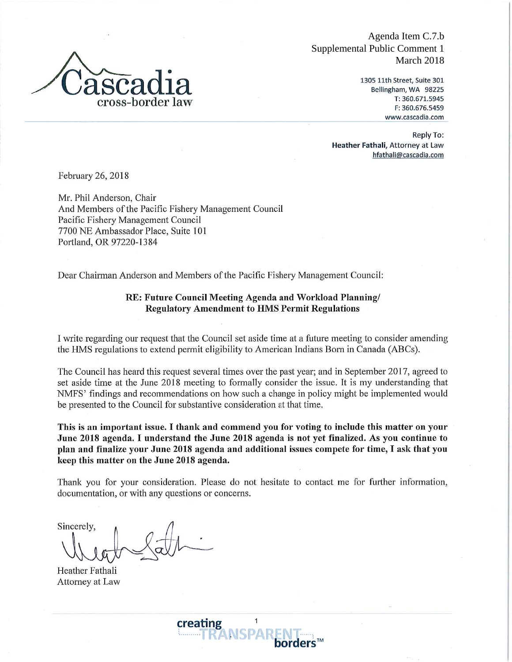

Agenda Item C.7.b Supplemental Public Comment 1 March 2018

> 1305 11th Street, Suite 301 Bellingham, WA 98225 T: 360.671.5945 F: 360.676.5459 www.cascadia.com

Reply To: Heather Fathali, Attorney at Law hfathali@cascadia.com

February 26, 2018

Mr. Phil Anderson, Chair And Members of the Pacific Fishery Management Council Pacific Fishery Management Council 7700 NE Ambassador Place, Suite 101 Portland, OR 97220-1384

Dear Chairman Anderson and Members of the Pacific Fishery Management Council:

## RE: Future Council Meeting Agenda and Workload Planning/ **Regulatory Amendment to HMS Permit Regulations**

I write regarding our request that the Council set aside time at a future meeting to consider amending the HMS regulations to extend permit eligibility to American Indians Born in Canada (ABCs).

The Council has heard this request several times over the past year; and in September 2017, agreed to set aside time at the June 2018 meeting to formally consider the issue. It is my understanding that NMFS' findings and recommendations on how such a change in policy might be implemented would be presented to the Council for substantive consideration at that time.

This is an important issue. I thank and commend you for voting to include this matter on your June 2018 agenda. I understand the June 2018 agenda is not yet finalized. As you continue to plan and finalize your June 2018 agenda and additional issues compete for time, I ask that you keep this matter on the June 2018 agenda.

Thank you for your consideration. Please do not hesitate to contact me for further information, documentation, or with any questions or concerns.

Sincerely.

Heather Fathali Attorney at Law